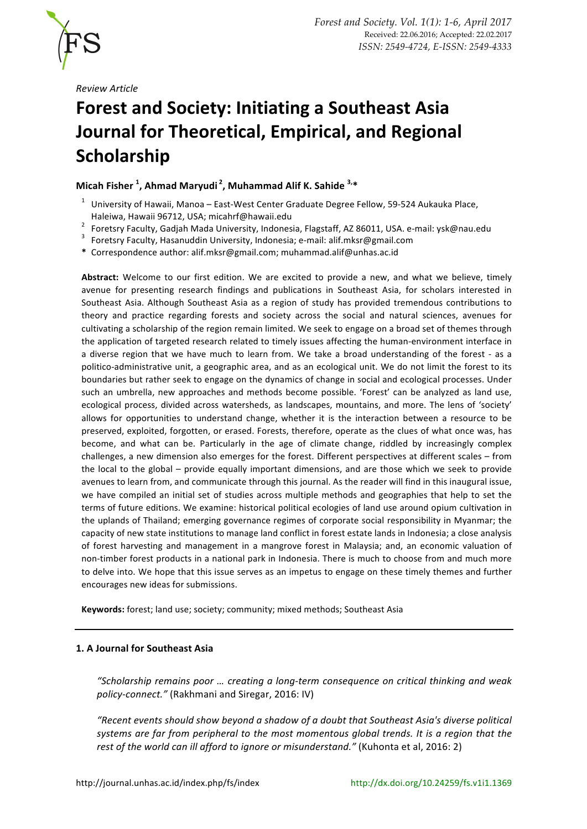

*Review Article*

# **Forest and Society: Initiating a Southeast Asia Journal for Theoretical, Empirical, and Regional Scholarship**

# **Micah Fisher** <sup>1</sup>, Ahmad Maryudi<sup>2</sup>, Muhammad Alif K. Sahide <sup>3,\*</sup>

- $1$  University of Hawaii, Manoa East-West Center Graduate Degree Fellow, 59-524 Aukauka Place,
- Haleiwa, Hawaii 96712, USA; micahrf@hawaii.edu<br>
<sup>2</sup> Foretsry Faculty, Gadjah Mada University, Indonesia, Flagstaff, AZ 86011, USA. e-mail: ysk@nau.edu<br>
<sup>3</sup> Foretsry Faculty, Hasanuddin University, Indonesia; e-mail: alif.m
- 
- **\*** Correspondence author: alif.mksr@gmail.com; muhammad.alif@unhas.ac.id

Abstract: Welcome to our first edition. We are excited to provide a new, and what we believe, timely avenue for presenting research findings and publications in Southeast Asia, for scholars interested in Southeast Asia. Although Southeast Asia as a region of study has provided tremendous contributions to theory and practice regarding forests and society across the social and natural sciences, avenues for cultivating a scholarship of the region remain limited. We seek to engage on a broad set of themes through the application of targeted research related to timely issues affecting the human-environment interface in a diverse region that we have much to learn from. We take a broad understanding of the forest - as a politico-administrative unit, a geographic area, and as an ecological unit. We do not limit the forest to its boundaries but rather seek to engage on the dynamics of change in social and ecological processes. Under such an umbrella, new approaches and methods become possible. 'Forest' can be analyzed as land use, ecological process, divided across watersheds, as landscapes, mountains, and more. The lens of 'society' allows for opportunities to understand change, whether it is the interaction between a resource to be preserved, exploited, forgotten, or erased. Forests, therefore, operate as the clues of what once was, has become, and what can be. Particularly in the age of climate change, riddled by increasingly complex challenges, a new dimension also emerges for the forest. Different perspectives at different scales – from the local to the global – provide equally important dimensions, and are those which we seek to provide avenues to learn from, and communicate through this journal. As the reader will find in this inaugural issue, we have compiled an initial set of studies across multiple methods and geographies that help to set the terms of future editions. We examine: historical political ecologies of land use around opium cultivation in the uplands of Thailand; emerging governance regimes of corporate social responsibility in Myanmar; the capacity of new state institutions to manage land conflict in forest estate lands in Indonesia; a close analysis of forest harvesting and management in a mangrove forest in Malaysia; and, an economic valuation of non-timber forest products in a national park in Indonesia. There is much to choose from and much more to delve into. We hope that this issue serves as an impetus to engage on these timely themes and further encourages new ideas for submissions.

Keywords: forest; land use; society; community; mixed methods; Southeast Asia

# **1. A Journal for Southeast Asia**

"Scholarship remains poor ... creating a long-term consequence on critical thinking and weak policy-connect." (Rakhmani and Siregar, 2016: IV)

*"Recent events should show beyond a shadow of a doubt that Southeast Asia's diverse political*  systems are far from peripheral to the most momentous global trends. It is a region that the *rest of the world can ill afford to ignore or misunderstand."* (Kuhonta et al, 2016: 2)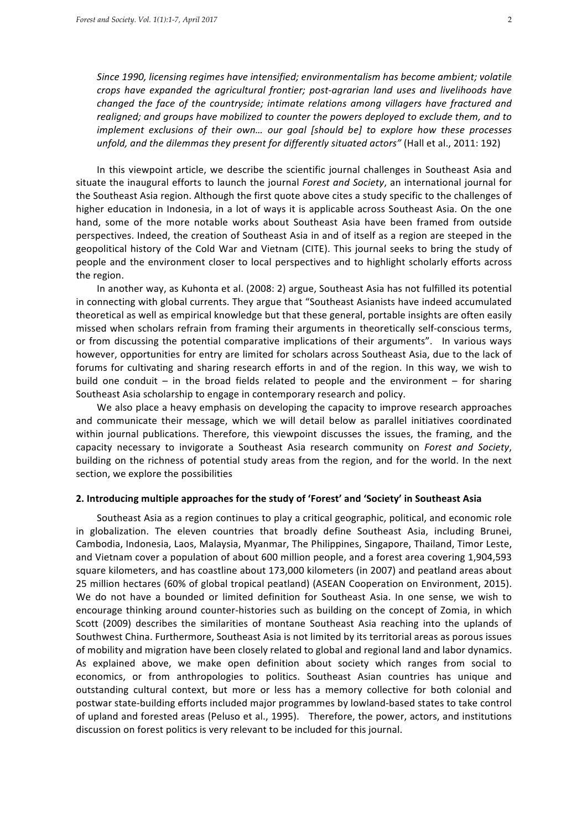Since 1990, licensing regimes have intensified; environmentalism has become ambient; volatile *crops* have expanded the agricultural frontier; post-agrarian land uses and livelihoods have *changed the face of the countryside; intimate relations among villagers have fractured and* realigned; and groups have mobilized to counter the powers deployed to exclude them, and to *implement exclusions of their own... our goal [should be] to explore how these processes unfold, and the dilemmas they present for differently situated actors"* (Hall et al., 2011: 192)

In this viewpoint article, we describe the scientific journal challenges in Southeast Asia and situate the inaugural efforts to launch the journal *Forest and Society*, an international journal for the Southeast Asia region. Although the first quote above cites a study specific to the challenges of higher education in Indonesia, in a lot of ways it is applicable across Southeast Asia. On the one hand, some of the more notable works about Southeast Asia have been framed from outside perspectives. Indeed, the creation of Southeast Asia in and of itself as a region are steeped in the geopolitical history of the Cold War and Vietnam (CITE). This journal seeks to bring the study of people and the environment closer to local perspectives and to highlight scholarly efforts across the region.

In another way, as Kuhonta et al. (2008: 2) argue, Southeast Asia has not fulfilled its potential in connecting with global currents. They argue that "Southeast Asianists have indeed accumulated theoretical as well as empirical knowledge but that these general, portable insights are often easily missed when scholars refrain from framing their arguments in theoretically self-conscious terms, or from discussing the potential comparative implications of their arguments". In various ways however, opportunities for entry are limited for scholars across Southeast Asia, due to the lack of forums for cultivating and sharing research efforts in and of the region. In this way, we wish to build one conduit  $-$  in the broad fields related to people and the environment  $-$  for sharing Southeast Asia scholarship to engage in contemporary research and policy.

We also place a heavy emphasis on developing the capacity to improve research approaches and communicate their message, which we will detail below as parallel initiatives coordinated within journal publications. Therefore, this viewpoint discusses the issues, the framing, and the capacity necessary to invigorate a Southeast Asia research community on *Forest and Society*, building on the richness of potential study areas from the region, and for the world. In the next section, we explore the possibilities

#### 2. Introducing multiple approaches for the study of 'Forest' and 'Society' in Southeast Asia

Southeast Asia as a region continues to play a critical geographic, political, and economic role in globalization. The eleven countries that broadly define Southeast Asia, including Brunei, Cambodia, Indonesia, Laos, Malaysia, Myanmar, The Philippines, Singapore, Thailand, Timor Leste, and Vietnam cover a population of about 600 million people, and a forest area covering 1,904,593 square kilometers, and has coastline about 173,000 kilometers (in 2007) and peatland areas about 25 million hectares (60% of global tropical peatland) (ASEAN Cooperation on Environment, 2015). We do not have a bounded or limited definition for Southeast Asia. In one sense, we wish to encourage thinking around counter-histories such as building on the concept of Zomia, in which Scott (2009) describes the similarities of montane Southeast Asia reaching into the uplands of Southwest China. Furthermore, Southeast Asia is not limited by its territorial areas as porous issues of mobility and migration have been closely related to global and regional land and labor dynamics. As explained above, we make open definition about society which ranges from social to economics, or from anthropologies to politics. Southeast Asian countries has unique and outstanding cultural context, but more or less has a memory collective for both colonial and postwar state-building efforts included major programmes by lowland-based states to take control of upland and forested areas (Peluso et al., 1995). Therefore, the power, actors, and institutions discussion on forest politics is very relevant to be included for this journal.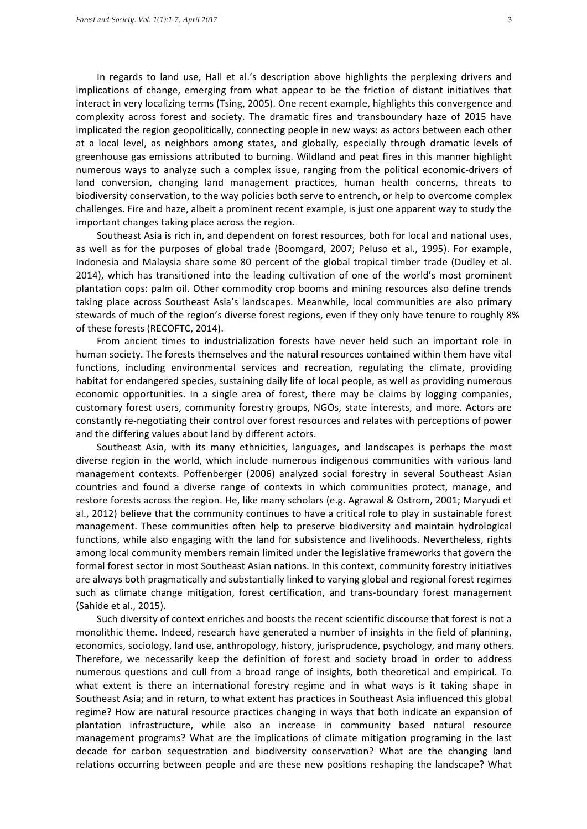In regards to land use, Hall et al.'s description above highlights the perplexing drivers and implications of change, emerging from what appear to be the friction of distant initiatives that interact in very localizing terms (Tsing, 2005). One recent example, highlights this convergence and complexity across forest and society. The dramatic fires and transboundary haze of 2015 have implicated the region geopolitically, connecting people in new ways: as actors between each other at a local level, as neighbors among states, and globally, especially through dramatic levels of greenhouse gas emissions attributed to burning. Wildland and peat fires in this manner highlight numerous ways to analyze such a complex issue, ranging from the political economic-drivers of land conversion, changing land management practices, human health concerns, threats to biodiversity conservation, to the way policies both serve to entrench, or help to overcome complex challenges. Fire and haze, albeit a prominent recent example, is just one apparent way to study the important changes taking place across the region.

Southeast Asia is rich in, and dependent on forest resources, both for local and national uses, as well as for the purposes of global trade (Boomgard, 2007; Peluso et al., 1995). For example, Indonesia and Malaysia share some 80 percent of the global tropical timber trade (Dudley et al. 2014), which has transitioned into the leading cultivation of one of the world's most prominent plantation cops: palm oil. Other commodity crop booms and mining resources also define trends taking place across Southeast Asia's landscapes. Meanwhile, local communities are also primary stewards of much of the region's diverse forest regions, even if they only have tenure to roughly 8% of these forests (RECOFTC, 2014).

From ancient times to industrialization forests have never held such an important role in human society. The forests themselves and the natural resources contained within them have vital functions, including environmental services and recreation, regulating the climate, providing habitat for endangered species, sustaining daily life of local people, as well as providing numerous economic opportunities. In a single area of forest, there may be claims by logging companies, customary forest users, community forestry groups, NGOs, state interests, and more. Actors are constantly re-negotiating their control over forest resources and relates with perceptions of power and the differing values about land by different actors.

Southeast Asia, with its many ethnicities, languages, and landscapes is perhaps the most diverse region in the world, which include numerous indigenous communities with various land management contexts. Poffenberger (2006) analyzed social forestry in several Southeast Asian countries and found a diverse range of contexts in which communities protect, manage, and restore forests across the region. He, like many scholars (e.g. Agrawal & Ostrom, 2001; Maryudi et al., 2012) believe that the community continues to have a critical role to play in sustainable forest management. These communities often help to preserve biodiversity and maintain hydrological functions, while also engaging with the land for subsistence and livelihoods. Nevertheless, rights among local community members remain limited under the legislative frameworks that govern the formal forest sector in most Southeast Asian nations. In this context, community forestry initiatives are always both pragmatically and substantially linked to varying global and regional forest regimes such as climate change mitigation, forest certification, and trans-boundary forest management (Sahide et al., 2015).

Such diversity of context enriches and boosts the recent scientific discourse that forest is not a monolithic theme. Indeed, research have generated a number of insights in the field of planning, economics, sociology, land use, anthropology, history, jurisprudence, psychology, and many others. Therefore, we necessarily keep the definition of forest and society broad in order to address numerous questions and cull from a broad range of insights, both theoretical and empirical. To what extent is there an international forestry regime and in what ways is it taking shape in Southeast Asia; and in return, to what extent has practices in Southeast Asia influenced this global regime? How are natural resource practices changing in ways that both indicate an expansion of plantation infrastructure, while also an increase in community based natural resource management programs? What are the implications of climate mitigation programing in the last decade for carbon sequestration and biodiversity conservation? What are the changing land relations occurring between people and are these new positions reshaping the landscape? What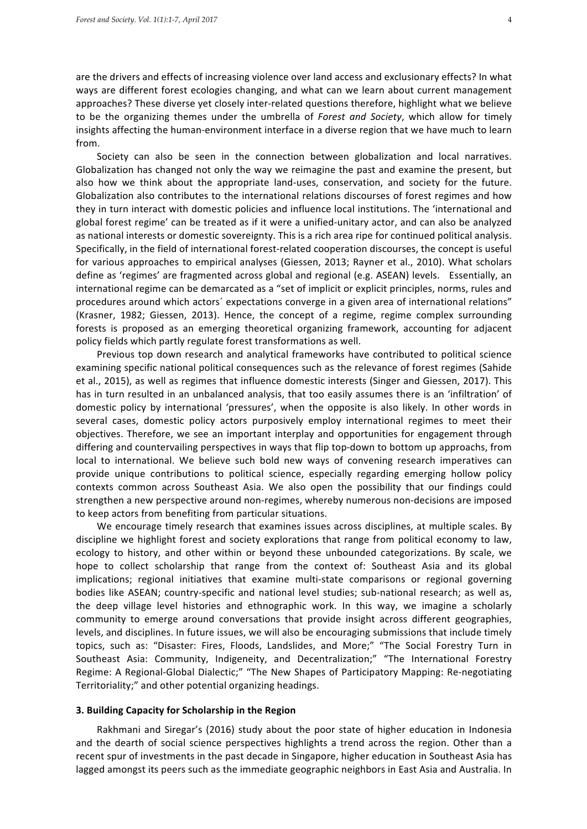are the drivers and effects of increasing violence over land access and exclusionary effects? In what ways are different forest ecologies changing, and what can we learn about current management approaches? These diverse yet closely inter-related questions therefore, highlight what we believe to be the organizing themes under the umbrella of *Forest and Society*, which allow for timely insights affecting the human-environment interface in a diverse region that we have much to learn from.

Society can also be seen in the connection between globalization and local narratives. Globalization has changed not only the way we reimagine the past and examine the present, but also how we think about the appropriate land-uses, conservation, and society for the future. Globalization also contributes to the international relations discourses of forest regimes and how they in turn interact with domestic policies and influence local institutions. The 'international and global forest regime' can be treated as if it were a unified-unitary actor, and can also be analyzed as national interests or domestic sovereignty. This is a rich area ripe for continued political analysis. Specifically, in the field of international forest-related cooperation discourses, the concept is useful for various approaches to empirical analyses (Giessen, 2013; Rayner et al., 2010). What scholars define as 'regimes' are fragmented across global and regional (e.g. ASEAN) levels. Essentially, an international regime can be demarcated as a "set of implicit or explicit principles, norms, rules and procedures around which actors' expectations converge in a given area of international relations" (Krasner, 1982; Giessen, 2013). Hence, the concept of a regime, regime complex surrounding forests is proposed as an emerging theoretical organizing framework, accounting for adjacent policy fields which partly regulate forest transformations as well.

Previous top down research and analytical frameworks have contributed to political science examining specific national political consequences such as the relevance of forest regimes (Sahide et al., 2015), as well as regimes that influence domestic interests (Singer and Giessen, 2017). This has in turn resulted in an unbalanced analysis, that too easily assumes there is an 'infiltration' of domestic policy by international 'pressures', when the opposite is also likely. In other words in several cases, domestic policy actors purposively employ international regimes to meet their objectives. Therefore, we see an important interplay and opportunities for engagement through differing and countervailing perspectives in ways that flip top-down to bottom up approachs, from local to international. We believe such bold new ways of convening research imperatives can provide unique contributions to political science, especially regarding emerging hollow policy contexts common across Southeast Asia. We also open the possibility that our findings could strengthen a new perspective around non-regimes, whereby numerous non-decisions are imposed to keep actors from benefiting from particular situations.

We encourage timely research that examines issues across disciplines, at multiple scales. By discipline we highlight forest and society explorations that range from political economy to law, ecology to history, and other within or beyond these unbounded categorizations. By scale, we hope to collect scholarship that range from the context of: Southeast Asia and its global implications; regional initiatives that examine multi-state comparisons or regional governing bodies like ASEAN; country-specific and national level studies; sub-national research; as well as, the deep village level histories and ethnographic work. In this way, we imagine a scholarly community to emerge around conversations that provide insight across different geographies, levels, and disciplines. In future issues, we will also be encouraging submissions that include timely topics, such as: "Disaster: Fires, Floods, Landslides, and More;" "The Social Forestry Turn in Southeast Asia: Community, Indigeneity, and Decentralization;" "The International Forestry Regime: A Regional-Global Dialectic;" "The New Shapes of Participatory Mapping: Re-negotiating Territoriality;" and other potential organizing headings.

#### **3. Building Capacity for Scholarship in the Region**

Rakhmani and Siregar's (2016) study about the poor state of higher education in Indonesia and the dearth of social science perspectives highlights a trend across the region. Other than a recent spur of investments in the past decade in Singapore, higher education in Southeast Asia has lagged amongst its peers such as the immediate geographic neighbors in East Asia and Australia. In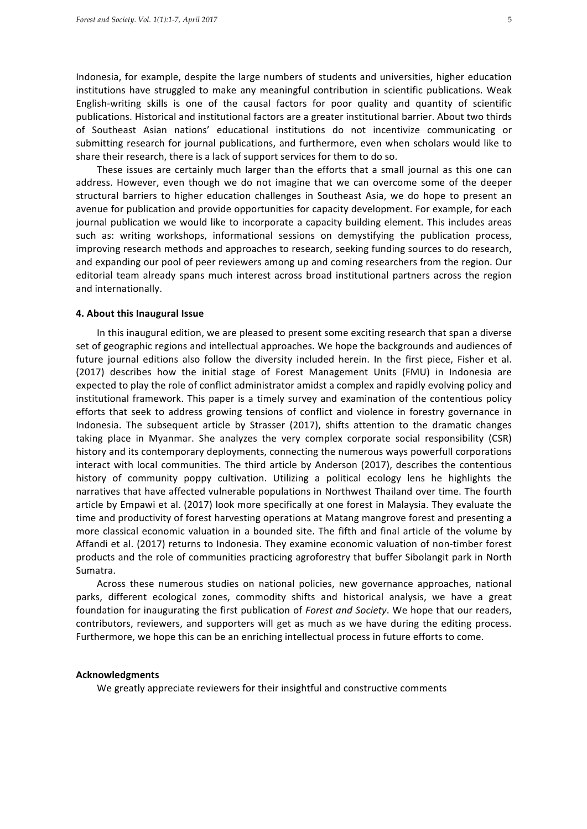Indonesia, for example, despite the large numbers of students and universities, higher education institutions have struggled to make any meaningful contribution in scientific publications. Weak English-writing skills is one of the causal factors for poor quality and quantity of scientific publications. Historical and institutional factors are a greater institutional barrier. About two thirds of Southeast Asian nations' educational institutions do not incentivize communicating or submitting research for journal publications, and furthermore, even when scholars would like to share their research, there is a lack of support services for them to do so.

These issues are certainly much larger than the efforts that a small journal as this one can address. However, even though we do not imagine that we can overcome some of the deeper structural barriers to higher education challenges in Southeast Asia, we do hope to present an avenue for publication and provide opportunities for capacity development. For example, for each journal publication we would like to incorporate a capacity building element. This includes areas such as: writing workshops, informational sessions on demystifying the publication process, improving research methods and approaches to research, seeking funding sources to do research, and expanding our pool of peer reviewers among up and coming researchers from the region. Our editorial team already spans much interest across broad institutional partners across the region and internationally.

#### **4. About this Inaugural Issue**

In this inaugural edition, we are pleased to present some exciting research that span a diverse set of geographic regions and intellectual approaches. We hope the backgrounds and audiences of future journal editions also follow the diversity included herein. In the first piece, Fisher et al. (2017) describes how the initial stage of Forest Management Units (FMU) in Indonesia are expected to play the role of conflict administrator amidst a complex and rapidly evolving policy and institutional framework. This paper is a timely survey and examination of the contentious policy efforts that seek to address growing tensions of conflict and violence in forestry governance in Indonesia. The subsequent article by Strasser (2017), shifts attention to the dramatic changes taking place in Myanmar. She analyzes the very complex corporate social responsibility (CSR) history and its contemporary deployments, connecting the numerous ways powerfull corporations interact with local communities. The third article by Anderson (2017), describes the contentious history of community poppy cultivation. Utilizing a political ecology lens he highlights the narratives that have affected vulnerable populations in Northwest Thailand over time. The fourth article by Empawi et al. (2017) look more specifically at one forest in Malaysia. They evaluate the time and productivity of forest harvesting operations at Matang mangrove forest and presenting a more classical economic valuation in a bounded site. The fifth and final article of the volume by Affandi et al. (2017) returns to Indonesia. They examine economic valuation of non-timber forest products and the role of communities practicing agroforestry that buffer Sibolangit park in North Sumatra. 

Across these numerous studies on national policies, new governance approaches, national parks, different ecological zones, commodity shifts and historical analysis, we have a great foundation for inaugurating the first publication of *Forest and Society*. We hope that our readers, contributors, reviewers, and supporters will get as much as we have during the editing process. Furthermore, we hope this can be an enriching intellectual process in future efforts to come.

## **Acknowledgments**

We greatly appreciate reviewers for their insightful and constructive comments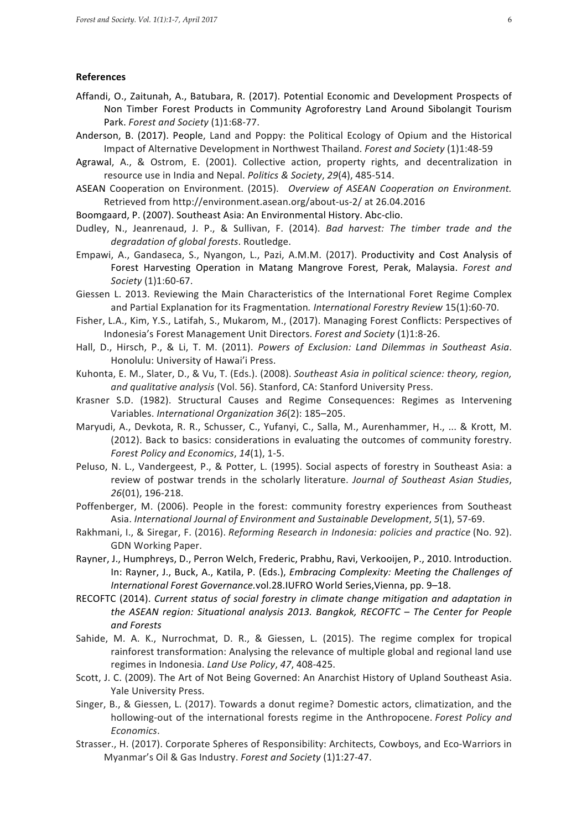### **References**

- Affandi, O., Zaitunah, A., Batubara, R. (2017). Potential Economic and Development Prospects of Non Timber Forest Products in Community Agroforestry Land Around Sibolangit Tourism Park. Forest and Society (1)1:68-77.
- Anderson, B. (2017). People, Land and Poppy: the Political Ecology of Opium and the Historical Impact of Alternative Development in Northwest Thailand. *Forest and Society* (1)1:48-59
- Agrawal, A., & Ostrom, E. (2001). Collective action, property rights, and decentralization in resource use in India and Nepal. *Politics & Society*, 29(4), 485-514.
- ASEAN Cooperation on Environment. (2015). Overview of ASEAN Cooperation on Environment. Retrieved from http://environment.asean.org/about-us-2/ at 26.04.2016
- Boomgaard, P. (2007). Southeast Asia: An Environmental History. Abc-clio.
- Dudley, N., Jeanrenaud, J. P., & Sullivan, F. (2014). *Bad harvest: The timber trade and the degradation of global forests*. Routledge.
- Empawi, A., Gandaseca, S., Nyangon, L., Pazi, A.M.M. (2017). Productivity and Cost Analysis of Forest Harvesting Operation in Matang Mangrove Forest, Perak, Malaysia. Forest and *Society* (1)1:60-67.
- Giessen L. 2013. Reviewing the Main Characteristics of the International Foret Regime Complex and Partial Explanation for its Fragmentation. International Forestry Review 15(1):60-70.
- Fisher, L.A., Kim, Y.S., Latifah, S., Mukarom, M., (2017). Managing Forest Conflicts: Perspectives of Indonesia's Forest Management Unit Directors. Forest and Society (1)1:8-26.
- Hall, D., Hirsch, P., & Li, T. M. (2011). *Powers of Exclusion: Land Dilemmas in Southeast Asia.* Honolulu: University of Hawai'i Press.
- Kuhonta, E. M., Slater, D., & Vu, T. (Eds.). (2008). Southeast Asia in political science: theory, region, and qualitative analysis (Vol. 56). Stanford, CA: Stanford University Press.
- Krasner S.D. (1982). Structural Causes and Regime Consequences: Regimes as Intervening Variables. *International Organization 36*(2): 185-205.
- Maryudi, A., Devkota, R. R., Schusser, C., Yufanyi, C., Salla, M., Aurenhammer, H., ... & Krott, M. (2012). Back to basics: considerations in evaluating the outcomes of community forestry. *Forest Policy and Economics, 14(1), 1-5.*
- Peluso, N. L., Vandergeest, P., & Potter, L. (1995). Social aspects of forestry in Southeast Asia: a review of postwar trends in the scholarly literature. Journal of Southeast Asian Studies, *26*(01), 196-218.
- Poffenberger, M. (2006). People in the forest: community forestry experiences from Southeast Asia. *International Journal of Environment and Sustainable Development*,  $5(1)$ , 57-69.
- Rakhmani, I., & Siregar, F. (2016). *Reforming Research in Indonesia: policies and practice* (No. 92). GDN Working Paper.
- Rayner, J., Humphreys, D., Perron Welch, Frederic, Prabhu, Ravi, Verkooijen, P., 2010. Introduction. In: Rayner, J., Buck, A., Katila, P. (Eds.), *Embracing Complexity: Meeting the Challenges of* International Forest Governance.vol.28.IUFRO World Series, Vienna, pp. 9-18.
- RECOFTC (2014). *Current status of social forestry in climate change mitigation and adaptation in the ASEAN region: Situational analysis 2013. Bangkok, RECOFTC* – *The Center for People and Forests*
- Sahide, M. A. K., Nurrochmat, D. R., & Giessen, L. (2015). The regime complex for tropical rainforest transformation: Analysing the relevance of multiple global and regional land use regimes in Indonesia. *Land Use Policy*, 47, 408-425.
- Scott, J. C. (2009). The Art of Not Being Governed: An Anarchist History of Upland Southeast Asia. Yale University Press.
- Singer, B., & Giessen, L. (2017). Towards a donut regime? Domestic actors, climatization, and the hollowing-out of the international forests regime in the Anthropocene. *Forest Policy and Economics*.
- Strasser., H. (2017). Corporate Spheres of Responsibility: Architects, Cowboys, and Eco-Warriors in Myanmar's Oil & Gas Industry. Forest and Society (1)1:27-47.